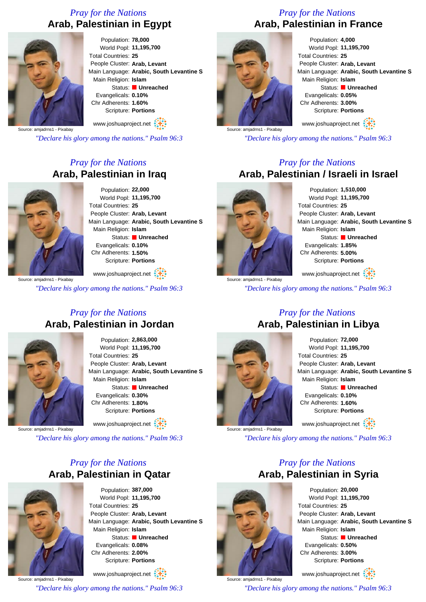### *Pray for the Nations* **Arab, Palestinian in Egypt**



Population: **78,000** World Popl: **11,195,700** Total Countries: **25** People Cluster: **Arab, Levant** Main Language: **Arabic, South Levantine S** Main Religion: **Islam** Status: **Unreached** Evangelicals: **0.10%** Chr Adherents: **1.60%** Scripture: **Portions**

www.joshuaproject.net

Source: amjadrns1 - Pixabay

*"Declare his glory among the nations." Psalm 96:3*

## *Pray for the Nations* **Arab, Palestinian in Iraq**



Population: **22,000** World Popl: **11,195,700** Total Countries: **25** People Cluster: **Arab, Levant** Main Language: **Arabic, South Levantine S** Main Religion: **Islam** Status: **Unreached** Evangelicals: **0.10%** Chr Adherents: **1.50%** Scripture: **Portions**

Source: amjadrns1 - Pixabay www.joshuaproject.net *"Declare his glory among the nations." Psalm 96:3*

### *Pray for the Nations* **Arab, Palestinian in Jordan**



Population: **2,863,000** World Popl: **11,195,700** Total Countries: **25** People Cluster: **Arab, Levant** Main Language: **Arabic, South Levantine S** Main Religion: **Islam** Status: **Unreached** Evangelicals: **0.30%** Chr Adherents: **1.80%** Scripture: **Portions**

Source: amjadrns1 - Pixabay

*"Declare his glory among the nations." Psalm 96:3*

www.joshuaproject.net

## *Pray for the Nations* **Arab, Palestinian in Qatar**

Population: **387,000** World Popl: **11,195,700** Total Countries: **25** People Cluster: **Arab, Levant** Main Language: **Arabic, South Levantine S** Main Religion: **Islam** Status: **Unreached** Evangelicals: **0.08%** Chr Adherents: **2.00%** Scripture: **Portions**

Source: amjadrns1 - Pixabay www.joshuaproject.net *"Declare his glory among the nations." Psalm 96:3*

# *Pray for the Nations* **Arab, Palestinian in France**



Population: **4,000** World Popl: **11,195,700** Total Countries: **25** People Cluster: **Arab, Levant** Main Language: **Arabic, South Levantine S** Main Religion: **Islam** Status: **Unreached** Evangelicals: **0.05%** Chr Adherents: **3.00%** Scripture: **Portions** www.joshuaproject.net

Source: amjadrns1 - Pixabay

*"Declare his glory among the nations." Psalm 96:3*

#### *Pray for the Nations* **Arab, Palestinian / Israeli in Israel**



Population: **1,510,000** World Popl: **11,195,700** Total Countries: **25** People Cluster: **Arab, Levant** Main Language: **Arabic, South Levantine S** Main Religion: **Islam** Status: **Unreached** Evangelicals: **1.85%** Chr Adherents: **5.00%** Scripture: **Portions**

www.joshuaproject.net

*"Declare his glory among the nations." Psalm 96:3*

# *Pray for the Nations* **Arab, Palestinian in Libya**



Population: **72,000** World Popl: **11,195,700** Total Countries: **25** People Cluster: **Arab, Levant** Main Language: **Arabic, South Levantine S** Main Religion: **Islam** Status: **Unreached** Evangelicals: **0.10%** Chr Adherents: **1.60%** Scripture: **Portions** www.joshuaproject.net

Source: amjadrns1 - Pixabay

*"Declare his glory among the nations." Psalm 96:3*

### *Pray for the Nations* **Arab, Palestinian in Syria**



Source: amjadrns1 - Pixabay

Population: **20,000** World Popl: **11,195,700** Total Countries: **25** People Cluster: **Arab, Levant** Main Language: **Arabic, South Levantine S** Main Religion: **Islam** Status: **Unreached** Evangelicals: **0.50%** Chr Adherents: **3.00%** Scripture: **Portions**

www.joshuaproject.net

*"Declare his glory among the nations." Psalm 96:3*